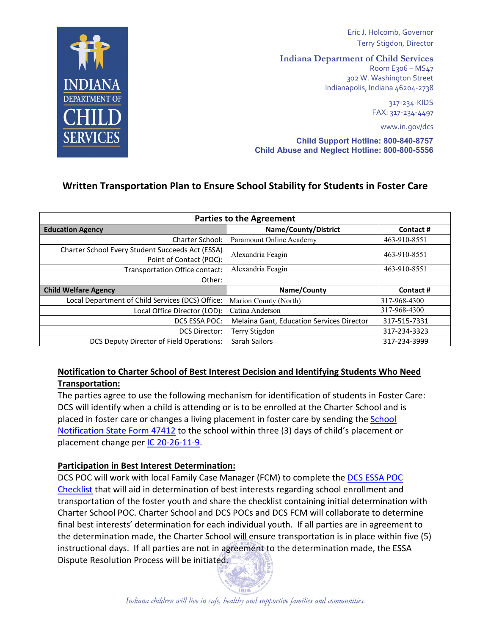

Eric J. Holcomb, Governor Terry Stigdon, Director

**Indiana Department of Child Services** 

Room E306 - MS47 302 W. Washington Street Indianapolis, Indiana 46204-2738

> 317-234-KIDS FAX: 317-234-4497

> > www.in.gov/dcs

Child Support Hotline: 800-840-8757 Child Abuse and Neglect Hotline: 800-800-5556

# Written Transportation Plan to Ensure School Stability for Students in Foster Care

| <b>Parties to the Agreement</b>                                             |                                           |              |
|-----------------------------------------------------------------------------|-------------------------------------------|--------------|
| <b>Education Agency</b>                                                     | Name/County/District                      | Contact#     |
| Charter School:                                                             | Paramount Online Academy                  | 463-910-8551 |
| Charter School Every Student Succeeds Act (ESSA)<br>Point of Contact (POC): | Alexandria Feagin                         | 463-910-8551 |
| Transportation Office contact:                                              | Alexandria Feagin                         | 463-910-8551 |
| Other:                                                                      |                                           |              |
| <b>Child Welfare Agency</b>                                                 | Name/County                               | Contact#     |
| Local Department of Child Services (DCS) Office:                            | Marion County (North)                     | 317-968-4300 |
| Local Office Director (LOD):                                                | Catina Anderson                           | 317-968-4300 |
| DCS ESSA POC:                                                               | Melaina Gant, Education Services Director | 317-515-7331 |
| <b>DCS Director:</b>                                                        | <b>Terry Stigdon</b>                      | 317-234-3323 |
| <b>DCS Deputy Director of Field Operations:</b>                             | Sarah Sailors                             | 317-234-3999 |

## Notification to Charter School of Best Interest Decision and Identifying Students Who Need Transportation:

The parties agree to use the following mechanism for identification of students in Foster Care: DCS will identify when a child is attending or is to be enrolled at the Charter School and is placed in foster care or changes a living placement in foster care by sending the School Notification State Form 47412 to the school within three (3) days of child's placement or placement change per IC 20-26-11-9.

### **Participation in Best Interest Determination:**

DCS POC will work with local Family Case Manager (FCM) to complete the DCS ESSA POC Checklist that will aid in determination of best interests regarding school enrollment and transportation of the foster youth and share the checklist containing initial determination with Charter School POC. Charter School and DCS POCs and DCS FCM will collaborate to determine final best interests' determination for each individual youth. If all parties are in agreement to the determination made, the Charter School will ensure transportation is in place within five (5) instructional days. If all parties are not in agreement to the determination made, the ESSA Dispute Resolution Process will be initiated.

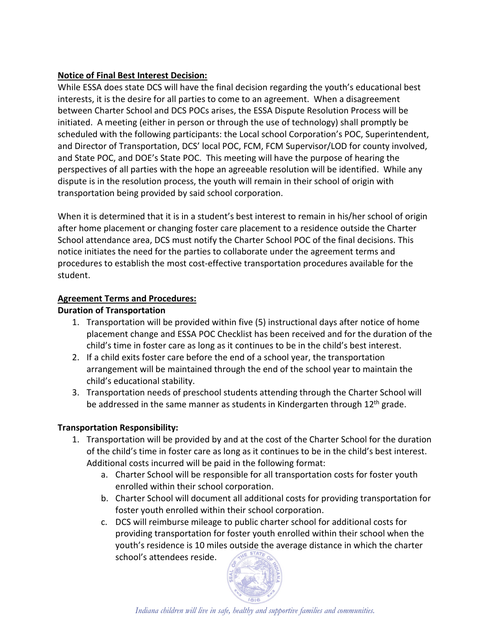## **Notice of Final Best Interest Decision:**

While ESSA does state DCS will have the final decision regarding the youth's educational best interests, it is the desire for all parties to come to an agreement. When a disagreement between Charter School and DCS POCs arises, the ESSA Dispute Resolution Process will be initiated. A meeting (either in person or through the use of technology) shall promptly be scheduled with the following participants: the Local school Corporation's POC, Superintendent, and Director of Transportation, DCS' local POC, FCM, FCM Supervisor/LOD for county involved, and State POC, and DOE's State POC. This meeting will have the purpose of hearing the perspectives of all parties with the hope an agreeable resolution will be identified. While any dispute is in the resolution process, the youth will remain in their school of origin with transportation being provided by said school corporation.

When it is determined that it is in a student's best interest to remain in his/her school of origin after home placement or changing foster care placement to a residence outside the Charter School attendance area, DCS must notify the Charter School POC of the final decisions. This notice initiates the need for the parties to collaborate under the agreement terms and procedures to establish the most cost-effective transportation procedures available for the student.

## **Agreement Terms and Procedures:**

### **Duration of Transportation**

- 1. Transportation will be provided within five (5) instructional days after notice of home placement change and ESSA POC Checklist has been received and for the duration of the child's time in foster care as long as it continues to be in the child's best interest.
- 2. If a child exits foster care before the end of a school year, the transportation arrangement will be maintained through the end of the school year to maintain the child's educational stability.
- 3. Transportation needs of preschool students attending through the Charter School will be addressed in the same manner as students in Kindergarten through 12<sup>th</sup> grade.

# **Transportation Responsibility:**

- 1. Transportation will be provided by and at the cost of the Charter School for the duration of the child's time in foster care as long as it continues to be in the child's best interest. Additional costs incurred will be paid in the following format:
	- a. Charter School will be responsible for all transportation costs for foster youth enrolled within their school corporation.
	- b. Charter School will document all additional costs for providing transportation for foster youth enrolled within their school corporation.
	- c. DCS will reimburse mileage to public charter school for additional costs for providing transportation for foster youth enrolled within their school when the youth's residence is 10 miles outside the average distance in which the charter school's attendees reside.



Indiana children will live in safe, healthy and supportive families and communities.